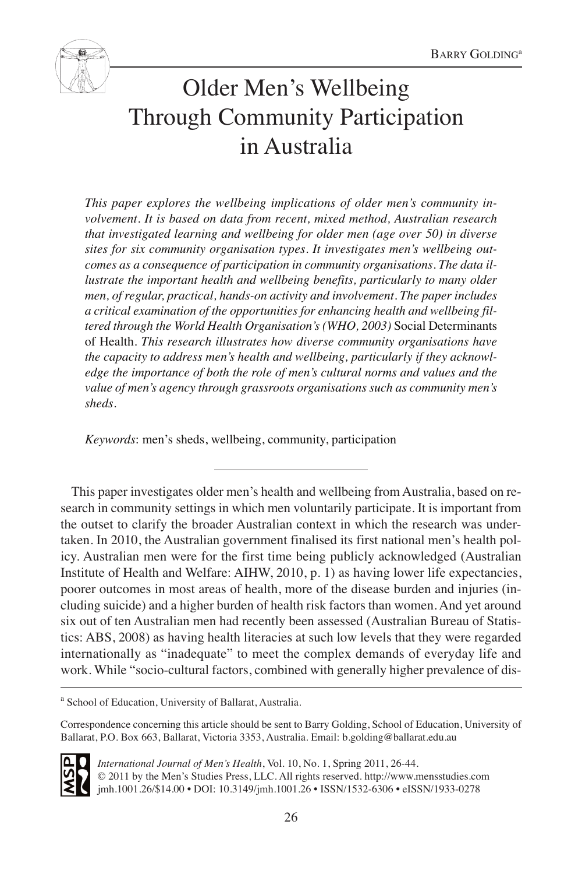

# Older Men's Wellbeing Through Community Participation in Australia

*This paper explores the wellbeing implications of older men's community involvement. It is based on data from recent, mixed method, Australian research that investigated learning and wellbeing for older men (age over 50) in diverse sites for six community organisation types. It investigates men's wellbeing outcomes as a consequence of participation in community organisations. The data illustrate the important health and wellbeing benefits, particularly to many older men, of regular, practical, hands-on activity and involvement. The paper includes a critical examination of the opportunities for enhancing health and wellbeing filtered through the World Health Organisation's (WHO, 2003)* Social Determinants of Health*. This research illustrates how diverse community organisations have the capacity to address men's health and wellbeing, particularly if they acknowledge the importance of both the role of men's cultural norms and values and the value of men's agency through grassroots organisations such as community men's sheds.*

*Keywords*: men's sheds, wellbeing, community, participation

This paper investigates older men's health and wellbeing from Australia, based on research in community settings in which men voluntarily participate. It is important from the outset to clarify the broader Australian context in which the research was undertaken. In 2010, the Australian government finalised its first national men's health policy. Australian men were for the first time being publicly acknowledged (Australian Institute of Health and Welfare: AIHW, 2010, p. 1) as having lower life expectancies, poorer outcomes in most areas of health, more of the disease burden and injuries (including suicide) and a higher burden of health risk factors than women. And yet around six out of ten Australian men had recently been assessed (Australian Bureau of Statistics: ABS, 2008) as having health literacies at such low levels that they were regarded internationally as "inadequate" to meet the complex demands of everyday life and work. While "socio-cultural factors, combined with generally higher prevalence of dis-

<sup>a</sup> School of Education, University of Ballarat, Australia.

Correspondence concerning this article should be sent to Barry Golding, School of Education, University of Ballarat, P.O. Box 663, Ballarat, Victoria 3353, Australia. Email: b.golding@ballarat.edu.au



*International Journal of Men's Health*, Vol. 10, No. 1, Spring 2011, 26-44. © 2011 by the Men's Studies Press, LLC. All rights reserved. http://www.mensstudies.com jmh.1001.26/\$14.00 • DOI: 10.3149/jmh.1001.26 • ISSN/1532-6306 • eISSN/1933-0278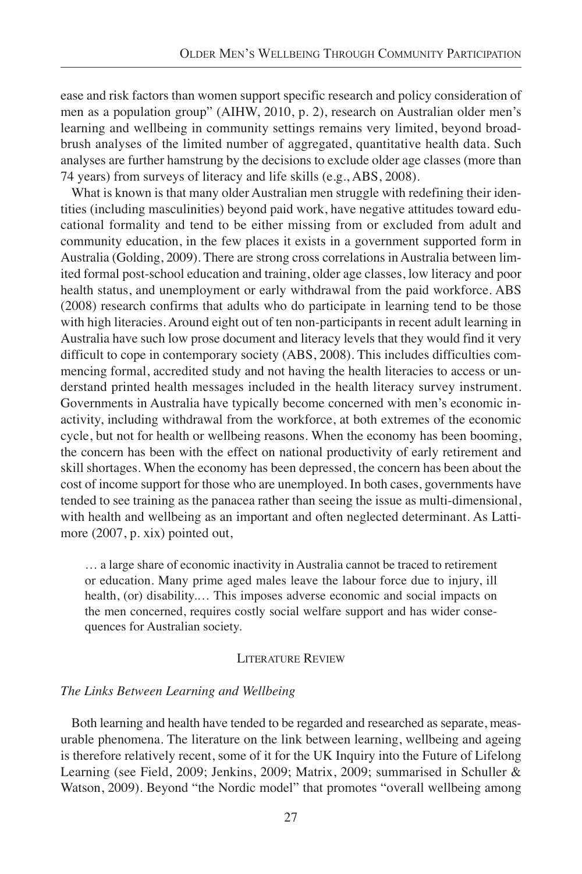ease and risk factors than women support specific research and policy consideration of men as a population group" (AIHW, 2010, p. 2), research on Australian older men's learning and wellbeing in community settings remains very limited, beyond broadbrush analyses of the limited number of aggregated, quantitative health data. Such analyses are further hamstrung by the decisions to exclude older age classes (more than 74 years) from surveys of literacy and life skills (e.g., ABS, 2008).

What is known is that many older Australian men struggle with redefining their identities (including masculinities) beyond paid work, have negative attitudes toward educational formality and tend to be either missing from or excluded from adult and community education, in the few places it exists in a government supported form in Australia (Golding, 2009). There are strong cross correlations in Australia between limited formal post-school education and training, older age classes, low literacy and poor health status, and unemployment or early withdrawal from the paid workforce. ABS (2008) research confirms that adults who do participate in learning tend to be those with high literacies. Around eight out of ten non-participants in recent adult learning in Australia have such low prose document and literacy levels that they would find it very difficult to cope in contemporary society (ABS, 2008). This includes difficulties commencing formal, accredited study and not having the health literacies to access or understand printed health messages included in the health literacy survey instrument. Governments in Australia have typically become concerned with men's economic inactivity, including withdrawal from the workforce, at both extremes of the economic cycle, but not for health or wellbeing reasons. When the economy has been booming, the concern has been with the effect on national productivity of early retirement and skill shortages. When the economy has been depressed, the concern has been about the cost of income support for those who are unemployed. In both cases, governments have tended to see training as the panacea rather than seeing the issue as multi-dimensional, with health and wellbeing as an important and often neglected determinant. As Lattimore (2007, p. xix) pointed out,

… a large share of economic inactivity in Australia cannot be traced to retirement or education. Many prime aged males leave the labour force due to injury, ill health, (or) disability.… This imposes adverse economic and social impacts on the men concerned, requires costly social welfare support and has wider consequences for Australian society.

# LITERATURE REVIEW

# *The Links Between Learning and Wellbeing*

Both learning and health have tended to be regarded and researched as separate, measurable phenomena. The literature on the link between learning, wellbeing and ageing is therefore relatively recent, some of it for the UK Inquiry into the Future of Lifelong Learning (see Field, 2009; Jenkins, 2009; Matrix, 2009; summarised in Schuller & Watson, 2009). Beyond "the Nordic model" that promotes "overall wellbeing among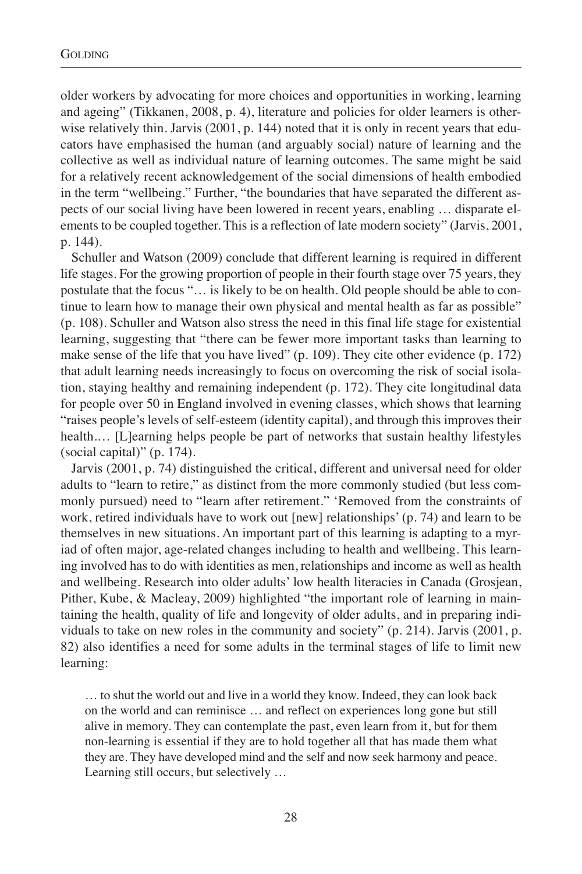older workers by advocating for more choices and opportunities in working, learning and ageing" (Tikkanen, 2008, p. 4), literature and policies for older learners is otherwise relatively thin. Jarvis (2001, p. 144) noted that it is only in recent years that educators have emphasised the human (and arguably social) nature of learning and the collective as well as individual nature of learning outcomes. The same might be said for a relatively recent acknowledgement of the social dimensions of health embodied in the term "wellbeing." Further, "the boundaries that have separated the different aspects of our social living have been lowered in recent years, enabling … disparate elements to be coupled together. This is a reflection of late modern society" (Jarvis, 2001, p. 144).

Schuller and Watson (2009) conclude that different learning is required in different life stages. For the growing proportion of people in their fourth stage over 75 years, they postulate that the focus "… is likely to be on health. Old people should be able to continue to learn how to manage their own physical and mental health as far as possible" (p. 108). Schuller and Watson also stress the need in this final life stage for existential learning, suggesting that "there can be fewer more important tasks than learning to make sense of the life that you have lived" (p. 109). They cite other evidence (p. 172) that adult learning needs increasingly to focus on overcoming the risk of social isolation, staying healthy and remaining independent (p. 172). They cite longitudinal data for people over 50 in England involved in evening classes, which shows that learning "raises people's levels of self-esteem (identity capital), and through this improves their health.… [L]earning helps people be part of networks that sustain healthy lifestyles (social capital)" (p. 174).

Jarvis (2001, p. 74) distinguished the critical, different and universal need for older adults to "learn to retire," as distinct from the more commonly studied (but less commonly pursued) need to "learn after retirement." 'Removed from the constraints of work, retired individuals have to work out [new] relationships' (p. 74) and learn to be themselves in new situations. An important part of this learning is adapting to a myriad of often major, age-related changes including to health and wellbeing. This learning involved has to do with identities as men, relationships and income as well as health and wellbeing. Research into older adults' low health literacies in Canada (Grosjean, Pither, Kube, & Macleay, 2009) highlighted "the important role of learning in maintaining the health, quality of life and longevity of older adults, and in preparing individuals to take on new roles in the community and society" (p. 214). Jarvis (2001, p. 82) also identifies a need for some adults in the terminal stages of life to limit new learning:

… to shut the world out and live in a world they know. Indeed, they can look back on the world and can reminisce … and reflect on experiences long gone but still alive in memory. They can contemplate the past, even learn from it, but for them non-learning is essential if they are to hold together all that has made them what they are. They have developed mind and the self and now seek harmony and peace. Learning still occurs, but selectively …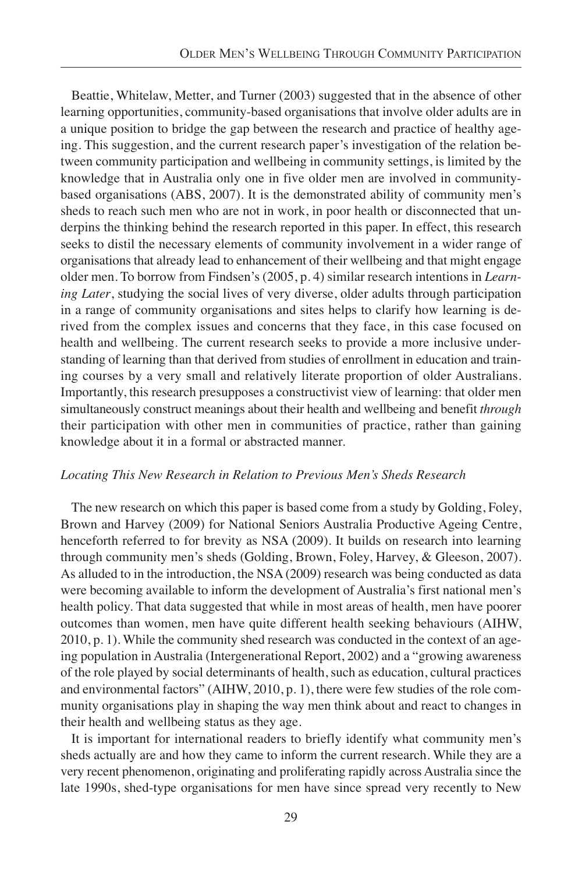Beattie, Whitelaw, Metter, and Turner (2003) suggested that in the absence of other learning opportunities, community-based organisations that involve older adults are in a unique position to bridge the gap between the research and practice of healthy ageing. This suggestion, and the current research paper's investigation of the relation between community participation and wellbeing in community settings, is limited by the knowledge that in Australia only one in five older men are involved in communitybased organisations (ABS, 2007). It is the demonstrated ability of community men's sheds to reach such men who are not in work, in poor health or disconnected that underpins the thinking behind the research reported in this paper. In effect, this research seeks to distil the necessary elements of community involvement in a wider range of organisations that already lead to enhancement of their wellbeing and that might engage older men. To borrow from Findsen's (2005, p. 4) similar research intentions in *Learning Later*, studying the social lives of very diverse, older adults through participation in a range of community organisations and sites helps to clarify how learning is derived from the complex issues and concerns that they face, in this case focused on health and wellbeing. The current research seeks to provide a more inclusive understanding of learning than that derived from studies of enrollment in education and training courses by a very small and relatively literate proportion of older Australians. Importantly, this research presupposes a constructivist view of learning: that older men simultaneously construct meanings about their health and wellbeing and benefit *through* their participation with other men in communities of practice, rather than gaining knowledge about it in a formal or abstracted manner.

# *Locating This New Research in Relation to Previous Men's Sheds Research*

The new research on which this paper is based come from a study by Golding, Foley, Brown and Harvey (2009) for National Seniors Australia Productive Ageing Centre, henceforth referred to for brevity as NSA (2009). It builds on research into learning through community men's sheds (Golding, Brown, Foley, Harvey, & Gleeson, 2007). As alluded to in the introduction, the NSA (2009) research was being conducted as data were becoming available to inform the development of Australia's first national men's health policy. That data suggested that while in most areas of health, men have poorer outcomes than women, men have quite different health seeking behaviours (AIHW, 2010, p. 1). While the community shed research was conducted in the context of an ageing population in Australia (Intergenerational Report, 2002) and a "growing awareness of the role played by social determinants of health, such as education, cultural practices and environmental factors" (AIHW, 2010, p. 1), there were few studies of the role community organisations play in shaping the way men think about and react to changes in their health and wellbeing status as they age.

It is important for international readers to briefly identify what community men's sheds actually are and how they came to inform the current research. While they are a very recent phenomenon, originating and proliferating rapidly across Australia since the late 1990s, shed-type organisations for men have since spread very recently to New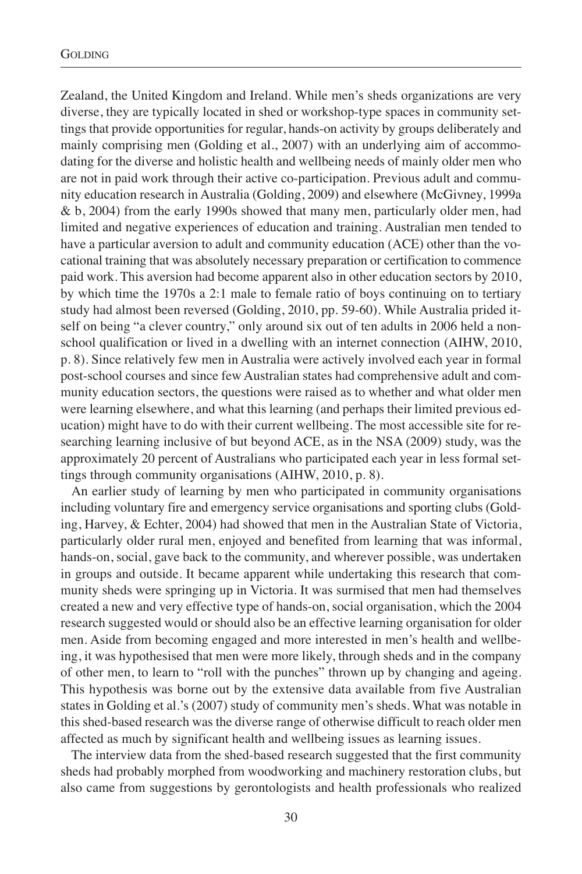Zealand, the United Kingdom and Ireland. While men's sheds organizations are very diverse, they are typically located in shed or workshop-type spaces in community settings that provide opportunities for regular, hands-on activity by groups deliberately and mainly comprising men (Golding et al., 2007) with an underlying aim of accommodating for the diverse and holistic health and wellbeing needs of mainly older men who are not in paid work through their active co-participation. Previous adult and community education research in Australia (Golding, 2009) and elsewhere (McGivney, 1999a & b, 2004) from the early 1990s showed that many men, particularly older men, had limited and negative experiences of education and training. Australian men tended to have a particular aversion to adult and community education (ACE) other than the vocational training that was absolutely necessary preparation or certification to commence paid work. This aversion had become apparent also in other education sectors by 2010, by which time the 1970s a 2:1 male to female ratio of boys continuing on to tertiary study had almost been reversed (Golding, 2010, pp. 59-60). While Australia prided itself on being "a clever country," only around six out of ten adults in 2006 held a nonschool qualification or lived in a dwelling with an internet connection (AIHW, 2010, p. 8). Since relatively few men in Australia were actively involved each year in formal post-school courses and since few Australian states had comprehensive adult and community education sectors, the questions were raised as to whether and what older men were learning elsewhere, and what this learning (and perhaps their limited previous education) might have to do with their current wellbeing. The most accessible site for researching learning inclusive of but beyond ACE, as in the NSA (2009) study, was the approximately 20 percent of Australians who participated each year in less formal settings through community organisations (AIHW, 2010, p. 8).

An earlier study of learning by men who participated in community organisations including voluntary fire and emergency service organisations and sporting clubs (Golding, Harvey, & Echter, 2004) had showed that men in the Australian State of Victoria, particularly older rural men, enjoyed and benefited from learning that was informal, hands-on, social, gave back to the community, and wherever possible, was undertaken in groups and outside. It became apparent while undertaking this research that community sheds were springing up in Victoria. It was surmised that men had themselves created a new and very effective type of hands-on, social organisation, which the 2004 research suggested would or should also be an effective learning organisation for older men. Aside from becoming engaged and more interested in men's health and wellbeing, it was hypothesised that men were more likely, through sheds and in the company of other men, to learn to "roll with the punches" thrown up by changing and ageing. This hypothesis was borne out by the extensive data available from five Australian states in Golding et al.'s (2007) study of community men's sheds. What was notable in this shed-based research was the diverse range of otherwise difficult to reach older men affected as much by significant health and wellbeing issues as learning issues.

The interview data from the shed-based research suggested that the first community sheds had probably morphed from woodworking and machinery restoration clubs, but also came from suggestions by gerontologists and health professionals who realized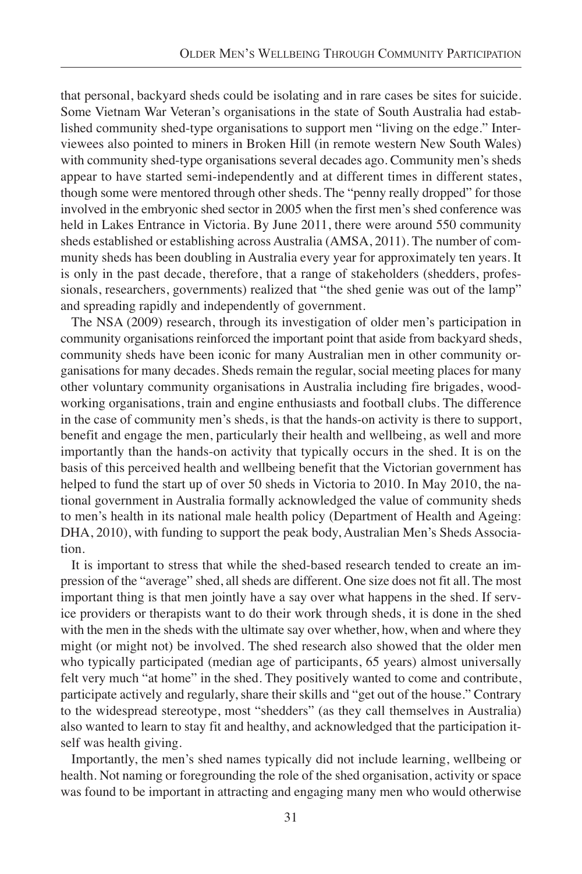that personal, backyard sheds could be isolating and in rare cases be sites for suicide. Some Vietnam War Veteran's organisations in the state of South Australia had established community shed-type organisations to support men "living on the edge." Interviewees also pointed to miners in Broken Hill (in remote western New South Wales) with community shed-type organisations several decades ago. Community men's sheds appear to have started semi-independently and at different times in different states, though some were mentored through other sheds. The "penny really dropped" for those involved in the embryonic shed sector in 2005 when the first men's shed conference was held in Lakes Entrance in Victoria. By June 2011, there were around 550 community sheds established or establishing across Australia (AMSA, 2011). The number of community sheds has been doubling in Australia every year for approximately ten years. It is only in the past decade, therefore, that a range of stakeholders (shedders, professionals, researchers, governments) realized that "the shed genie was out of the lamp" and spreading rapidly and independently of government.

The NSA (2009) research, through its investigation of older men's participation in community organisations reinforced the important point that aside from backyard sheds, community sheds have been iconic for many Australian men in other community organisations for many decades. Sheds remain the regular, social meeting places for many other voluntary community organisations in Australia including fire brigades, woodworking organisations, train and engine enthusiasts and football clubs. The difference in the case of community men's sheds, is that the hands-on activity is there to support, benefit and engage the men, particularly their health and wellbeing, as well and more importantly than the hands-on activity that typically occurs in the shed. It is on the basis of this perceived health and wellbeing benefit that the Victorian government has helped to fund the start up of over 50 sheds in Victoria to 2010. In May 2010, the national government in Australia formally acknowledged the value of community sheds to men's health in its national male health policy (Department of Health and Ageing: DHA, 2010), with funding to support the peak body, Australian Men's Sheds Association.

It is important to stress that while the shed-based research tended to create an impression of the "average" shed, all sheds are different. One size does not fit all. The most important thing is that men jointly have a say over what happens in the shed. If service providers or therapists want to do their work through sheds, it is done in the shed with the men in the sheds with the ultimate say over whether, how, when and where they might (or might not) be involved. The shed research also showed that the older men who typically participated (median age of participants, 65 years) almost universally felt very much "at home" in the shed. They positively wanted to come and contribute, participate actively and regularly, share their skills and "get out of the house." Contrary to the widespread stereotype, most "shedders" (as they call themselves in Australia) also wanted to learn to stay fit and healthy, and acknowledged that the participation itself was health giving.

Importantly, the men's shed names typically did not include learning, wellbeing or health. Not naming or foregrounding the role of the shed organisation, activity or space was found to be important in attracting and engaging many men who would otherwise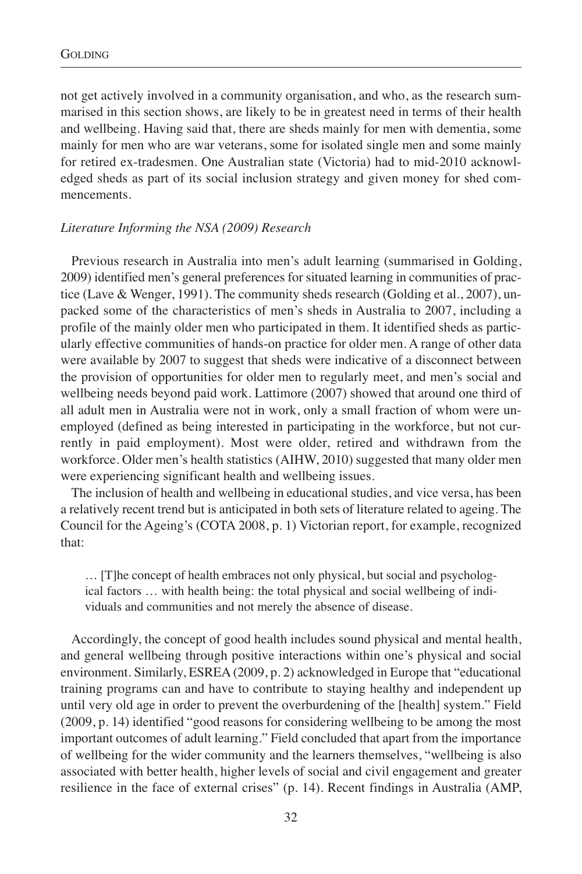not get actively involved in a community organisation, and who, as the research summarised in this section shows, are likely to be in greatest need in terms of their health and wellbeing. Having said that, there are sheds mainly for men with dementia, some mainly for men who are war veterans, some for isolated single men and some mainly for retired ex-tradesmen. One Australian state (Victoria) had to mid-2010 acknowledged sheds as part of its social inclusion strategy and given money for shed commencements.

## *Literature Informing the NSA (2009) Research*

Previous research in Australia into men's adult learning (summarised in Golding, 2009) identified men's general preferences for situated learning in communities of practice (Lave & Wenger, 1991). The community sheds research (Golding et al., 2007), unpacked some of the characteristics of men's sheds in Australia to 2007, including a profile of the mainly older men who participated in them. It identified sheds as particularly effective communities of hands-on practice for older men. A range of other data were available by 2007 to suggest that sheds were indicative of a disconnect between the provision of opportunities for older men to regularly meet, and men's social and wellbeing needs beyond paid work. Lattimore (2007) showed that around one third of all adult men in Australia were not in work, only a small fraction of whom were unemployed (defined as being interested in participating in the workforce, but not currently in paid employment). Most were older, retired and withdrawn from the workforce. Older men's health statistics (AIHW, 2010) suggested that many older men were experiencing significant health and wellbeing issues.

The inclusion of health and wellbeing in educational studies, and vice versa, has been a relatively recent trend but is anticipated in both sets of literature related to ageing. The Council for the Ageing's (COTA 2008, p. 1) Victorian report, for example, recognized that:

… [T]he concept of health embraces not only physical, but social and psychological factors … with health being: the total physical and social wellbeing of individuals and communities and not merely the absence of disease.

Accordingly, the concept of good health includes sound physical and mental health, and general wellbeing through positive interactions within one's physical and social environment. Similarly, ESREA (2009, p. 2) acknowledged in Europe that "educational training programs can and have to contribute to staying healthy and independent up until very old age in order to prevent the overburdening of the [health] system." Field (2009, p. 14) identified "good reasons for considering wellbeing to be among the most important outcomes of adult learning." Field concluded that apart from the importance of wellbeing for the wider community and the learners themselves, "wellbeing is also associated with better health, higher levels of social and civil engagement and greater resilience in the face of external crises" (p. 14). Recent findings in Australia (AMP,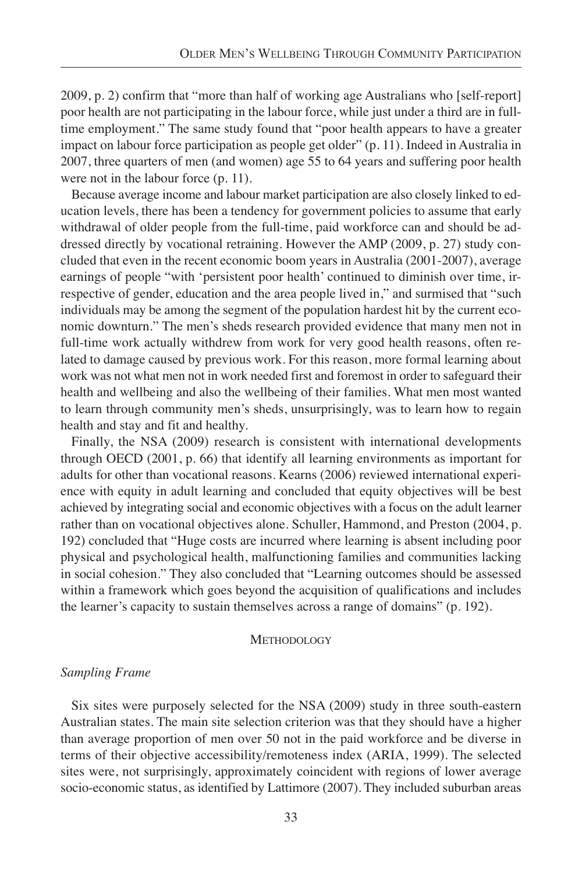2009, p. 2) confirm that "more than half of working age Australians who [self-report] poor health are not participating in the labour force, while just under a third are in fulltime employment." The same study found that "poor health appears to have a greater impact on labour force participation as people get older" (p. 11). Indeed in Australia in 2007, three quarters of men (and women) age 55 to 64 years and suffering poor health were not in the labour force  $(p. 11)$ .

Because average income and labour market participation are also closely linked to education levels, there has been a tendency for government policies to assume that early withdrawal of older people from the full-time, paid workforce can and should be addressed directly by vocational retraining. However the AMP (2009, p. 27) study concluded that even in the recent economic boom years in Australia (2001-2007), average earnings of people "with 'persistent poor health' continued to diminish over time, irrespective of gender, education and the area people lived in," and surmised that "such individuals may be among the segment of the population hardest hit by the current economic downturn." The men's sheds research provided evidence that many men not in full-time work actually withdrew from work for very good health reasons, often related to damage caused by previous work. For this reason, more formal learning about work was not what men not in work needed first and foremost in order to safeguard their health and wellbeing and also the wellbeing of their families. What men most wanted to learn through community men's sheds, unsurprisingly, was to learn how to regain health and stay and fit and healthy.

Finally, the NSA (2009) research is consistent with international developments through OECD (2001, p. 66) that identify all learning environments as important for adults for other than vocational reasons. Kearns (2006) reviewed international experience with equity in adult learning and concluded that equity objectives will be best achieved by integrating social and economic objectives with a focus on the adult learner rather than on vocational objectives alone. Schuller, Hammond, and Preston (2004, p. 192) concluded that "Huge costs are incurred where learning is absent including poor physical and psychological health, malfunctioning families and communities lacking in social cohesion." They also concluded that "Learning outcomes should be assessed within a framework which goes beyond the acquisition of qualifications and includes the learner's capacity to sustain themselves across a range of domains" (p. 192).

## **METHODOLOGY**

# *Sampling Frame*

Six sites were purposely selected for the NSA (2009) study in three south-eastern Australian states. The main site selection criterion was that they should have a higher than average proportion of men over 50 not in the paid workforce and be diverse in terms of their objective accessibility/remoteness index (ARIA, 1999). The selected sites were, not surprisingly, approximately coincident with regions of lower average socio-economic status, as identified by Lattimore (2007). They included suburban areas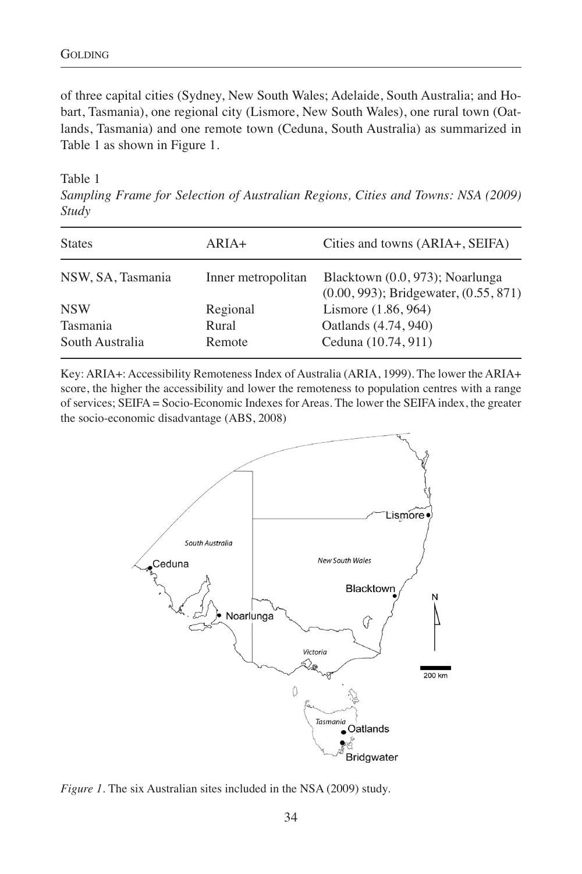of three capital cities (Sydney, New South Wales; Adelaide, South Australia; and Hobart, Tasmania), one regional city (Lismore, New South Wales), one rural town (Oatlands, Tasmania) and one remote town (Ceduna, South Australia) as summarized in Table 1 as shown in Figure 1.

Table 1

*Sampling Frame for Selection of Australian Regions, Cities and Towns: NSA (2009) Study*

| <b>States</b>     | ARIA+              | Cities and towns (ARIA+, SEIFA)                                               |
|-------------------|--------------------|-------------------------------------------------------------------------------|
| NSW, SA, Tasmania | Inner metropolitan | Blacktown (0.0, 973); Noarlunga<br>$(0.00, 993)$ ; Bridgewater, $(0.55, 871)$ |
| <b>NSW</b>        | Regional           | Lismore (1.86, 964)                                                           |
| Tasmania          | Rural              | Oatlands (4.74, 940)                                                          |
| South Australia   | Remote             | Ceduna (10.74, 911)                                                           |

Key: ARIA+: Accessibility Remoteness Index of Australia (ARIA, 1999). The lower the ARIA+ score, the higher the accessibility and lower the remoteness to population centres with a range of services; SEIFA = Socio-Economic Indexes for Areas. The lower the SEIFA index, the greater the socio-economic disadvantage (ABS, 2008)



*Figure 1.* The six Australian sites included in the NSA (2009) study.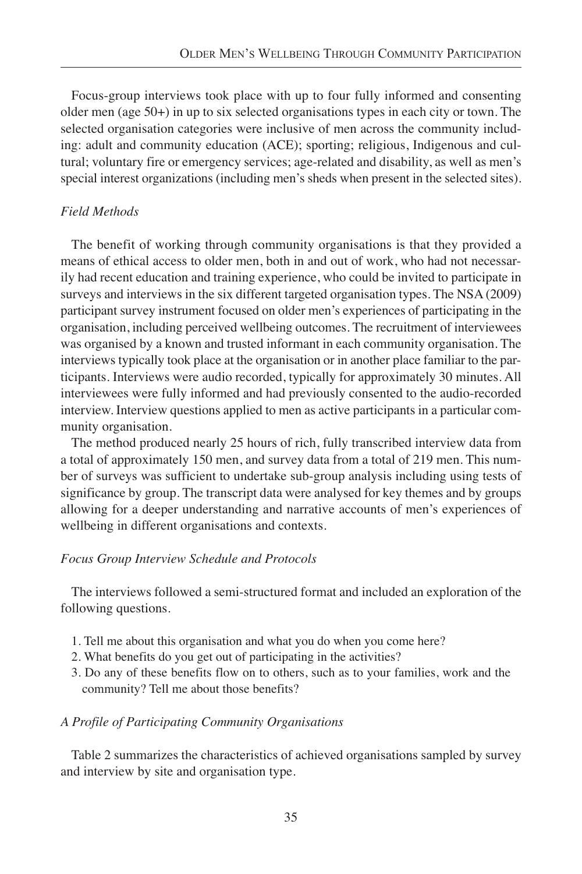Focus-group interviews took place with up to four fully informed and consenting older men (age 50+) in up to six selected organisations types in each city or town. The selected organisation categories were inclusive of men across the community including: adult and community education (ACE); sporting; religious, Indigenous and cultural; voluntary fire or emergency services; age-related and disability, as well as men's special interest organizations (including men's sheds when present in the selected sites).

# *Field Methods*

The benefit of working through community organisations is that they provided a means of ethical access to older men, both in and out of work, who had not necessarily had recent education and training experience, who could be invited to participate in surveys and interviews in the six different targeted organisation types. The NSA (2009) participant survey instrument focused on older men's experiences of participating in the organisation, including perceived wellbeing outcomes. The recruitment of interviewees was organised by a known and trusted informant in each community organisation. The interviews typically took place at the organisation or in another place familiar to the participants. Interviews were audio recorded, typically for approximately 30 minutes. All interviewees were fully informed and had previously consented to the audio-recorded interview. Interview questions applied to men as active participants in a particular community organisation.

The method produced nearly 25 hours of rich, fully transcribed interview data from a total of approximately 150 men, and survey data from a total of 219 men. This number of surveys was sufficient to undertake sub-group analysis including using tests of significance by group. The transcript data were analysed for key themes and by groups allowing for a deeper understanding and narrative accounts of men's experiences of wellbeing in different organisations and contexts.

# *Focus Group Interview Schedule and Protocols*

The interviews followed a semi-structured format and included an exploration of the following questions.

- 1. Tell me about this organisation and what you do when you come here?
- 2. What benefits do you get out of participating in the activities?
- 3. Do any of these benefits flow on to others, such as to your families, work and the community? Tell me about those benefits?

# *A Profile of Participating Community Organisations*

Table 2 summarizes the characteristics of achieved organisations sampled by survey and interview by site and organisation type.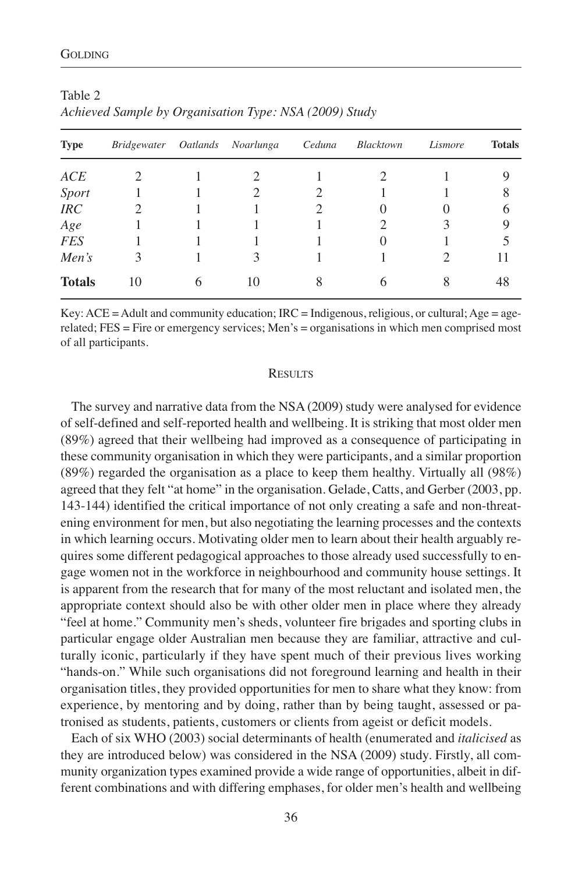| <b>Type</b>   | <i>Bridgewater</i> |   | Oatlands Noarlunga | Ceduna | Blacktown | Lismore | <b>Totals</b> |
|---------------|--------------------|---|--------------------|--------|-----------|---------|---------------|
| ACE           |                    |   |                    |        |           |         |               |
| <b>Sport</b>  |                    |   |                    |        |           |         | 8             |
| IRC           |                    |   |                    | 2      | $\theta$  |         | 6             |
| Age           |                    |   |                    |        |           |         | 9             |
| <b>FES</b>    |                    |   |                    |        | $\theta$  |         |               |
| Men's         | 3                  |   |                    |        |           |         | $\mathbf{L}$  |
| <b>Totals</b> | 10                 | 6 | 10                 |        | 6         |         | 48            |

| Table 2                                                |  |  |
|--------------------------------------------------------|--|--|
| Achieved Sample by Organisation Type: NSA (2009) Study |  |  |

Key: ACE = Adult and community education; IRC = Indigenous, religious, or cultural; Age = agerelated; FES = Fire or emergency services; Men's = organisations in which men comprised most of all participants.

#### **RESULTS**

The survey and narrative data from the NSA (2009) study were analysed for evidence of self-defined and self-reported health and wellbeing. It is striking that most older men (89%) agreed that their wellbeing had improved as a consequence of participating in these community organisation in which they were participants, and a similar proportion (89%) regarded the organisation as a place to keep them healthy. Virtually all (98%) agreed that they felt "at home" in the organisation. Gelade, Catts, and Gerber (2003, pp. 143-144) identified the critical importance of not only creating a safe and non-threatening environment for men, but also negotiating the learning processes and the contexts in which learning occurs. Motivating older men to learn about their health arguably requires some different pedagogical approaches to those already used successfully to engage women not in the workforce in neighbourhood and community house settings. It is apparent from the research that for many of the most reluctant and isolated men, the appropriate context should also be with other older men in place where they already "feel at home." Community men's sheds, volunteer fire brigades and sporting clubs in particular engage older Australian men because they are familiar, attractive and culturally iconic, particularly if they have spent much of their previous lives working "hands-on." While such organisations did not foreground learning and health in their organisation titles, they provided opportunities for men to share what they know: from experience, by mentoring and by doing, rather than by being taught, assessed or patronised as students, patients, customers or clients from ageist or deficit models.

Each of six WHO (2003) social determinants of health (enumerated and *italicised* as they are introduced below) was considered in the NSA (2009) study. Firstly, all community organization types examined provide a wide range of opportunities, albeit in different combinations and with differing emphases, for older men's health and wellbeing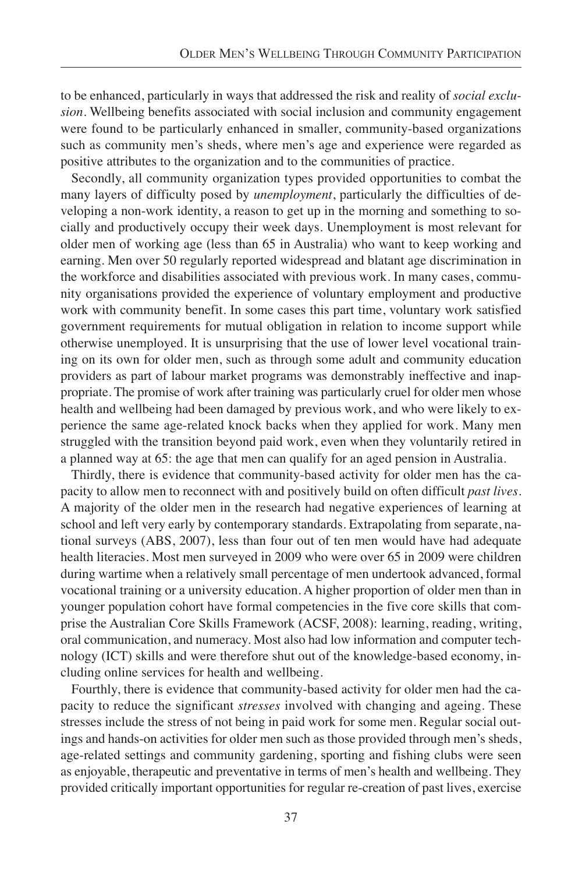to be enhanced, particularly in ways that addressed the risk and reality of *social exclusion*. Wellbeing benefits associated with social inclusion and community engagement were found to be particularly enhanced in smaller, community-based organizations such as community men's sheds, where men's age and experience were regarded as positive attributes to the organization and to the communities of practice.

Secondly, all community organization types provided opportunities to combat the many layers of difficulty posed by *unemployment*, particularly the difficulties of developing a non-work identity, a reason to get up in the morning and something to socially and productively occupy their week days. Unemployment is most relevant for older men of working age (less than 65 in Australia) who want to keep working and earning. Men over 50 regularly reported widespread and blatant age discrimination in the workforce and disabilities associated with previous work. In many cases, community organisations provided the experience of voluntary employment and productive work with community benefit. In some cases this part time, voluntary work satisfied government requirements for mutual obligation in relation to income support while otherwise unemployed. It is unsurprising that the use of lower level vocational training on its own for older men, such as through some adult and community education providers as part of labour market programs was demonstrably ineffective and inappropriate. The promise of work after training was particularly cruel for older men whose health and wellbeing had been damaged by previous work, and who were likely to experience the same age-related knock backs when they applied for work. Many men struggled with the transition beyond paid work, even when they voluntarily retired in a planned way at 65: the age that men can qualify for an aged pension in Australia.

Thirdly, there is evidence that community-based activity for older men has the capacity to allow men to reconnect with and positively build on often difficult *past lives*. A majority of the older men in the research had negative experiences of learning at school and left very early by contemporary standards. Extrapolating from separate, national surveys (ABS, 2007), less than four out of ten men would have had adequate health literacies. Most men surveyed in 2009 who were over 65 in 2009 were children during wartime when a relatively small percentage of men undertook advanced, formal vocational training or a university education. A higher proportion of older men than in younger population cohort have formal competencies in the five core skills that comprise the Australian Core Skills Framework (ACSF, 2008): learning, reading, writing, oral communication, and numeracy. Most also had low information and computer technology (ICT) skills and were therefore shut out of the knowledge-based economy, including online services for health and wellbeing.

Fourthly, there is evidence that community-based activity for older men had the capacity to reduce the significant *stresses* involved with changing and ageing. These stresses include the stress of not being in paid work for some men. Regular social outings and hands-on activities for older men such as those provided through men's sheds, age-related settings and community gardening, sporting and fishing clubs were seen as enjoyable, therapeutic and preventative in terms of men's health and wellbeing. They provided critically important opportunities for regular re-creation of past lives, exercise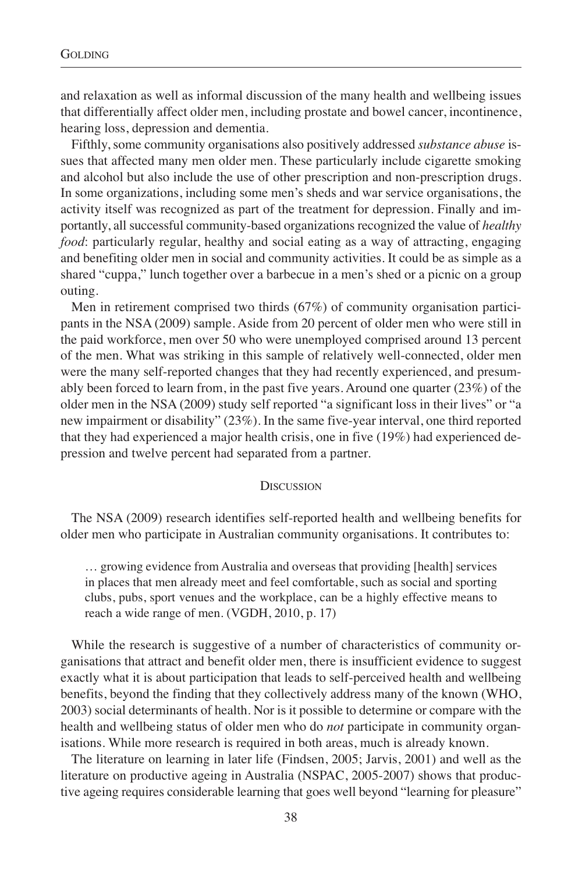and relaxation as well as informal discussion of the many health and wellbeing issues that differentially affect older men, including prostate and bowel cancer, incontinence, hearing loss, depression and dementia.

Fifthly, some community organisations also positively addressed *substance abuse* issues that affected many men older men. These particularly include cigarette smoking and alcohol but also include the use of other prescription and non-prescription drugs. In some organizations, including some men's sheds and war service organisations, the activity itself was recognized as part of the treatment for depression. Finally and importantly, all successful community-based organizations recognized the value of *healthy food*: particularly regular, healthy and social eating as a way of attracting, engaging and benefiting older men in social and community activities. It could be as simple as a shared "cuppa," lunch together over a barbecue in a men's shed or a picnic on a group outing.

Men in retirement comprised two thirds (67%) of community organisation participants in the NSA (2009) sample. Aside from 20 percent of older men who were still in the paid workforce, men over 50 who were unemployed comprised around 13 percent of the men. What was striking in this sample of relatively well-connected, older men were the many self-reported changes that they had recently experienced, and presumably been forced to learn from, in the past five years. Around one quarter (23%) of the older men in the NSA (2009) study self reported "a significant loss in their lives" or "a new impairment or disability" (23%). In the same five-year interval, one third reported that they had experienced a major health crisis, one in five (19%) had experienced depression and twelve percent had separated from a partner.

### **DISCUSSION**

The NSA (2009) research identifies self-reported health and wellbeing benefits for older men who participate in Australian community organisations. It contributes to:

… growing evidence from Australia and overseas that providing [health] services in places that men already meet and feel comfortable, such as social and sporting clubs, pubs, sport venues and the workplace, can be a highly effective means to reach a wide range of men. (VGDH, 2010, p. 17)

While the research is suggestive of a number of characteristics of community organisations that attract and benefit older men, there is insufficient evidence to suggest exactly what it is about participation that leads to self-perceived health and wellbeing benefits, beyond the finding that they collectively address many of the known (WHO, 2003) social determinants of health. Nor is it possible to determine or compare with the health and wellbeing status of older men who do *not* participate in community organisations. While more research is required in both areas, much is already known.

The literature on learning in later life (Findsen, 2005; Jarvis, 2001) and well as the literature on productive ageing in Australia (NSPAC, 2005-2007) shows that productive ageing requires considerable learning that goes well beyond "learning for pleasure"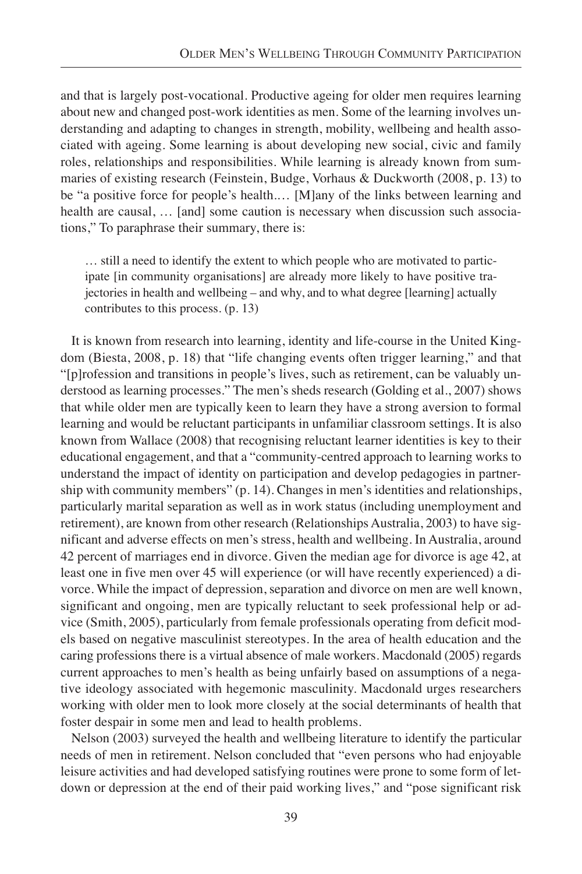and that is largely post-vocational. Productive ageing for older men requires learning about new and changed post-work identities as men. Some of the learning involves understanding and adapting to changes in strength, mobility, wellbeing and health associated with ageing. Some learning is about developing new social, civic and family roles, relationships and responsibilities. While learning is already known from summaries of existing research (Feinstein, Budge, Vorhaus & Duckworth (2008, p. 13) to be "a positive force for people's health.… [M]any of the links between learning and health are causal, … [and] some caution is necessary when discussion such associations," To paraphrase their summary, there is:

… still a need to identify the extent to which people who are motivated to participate [in community organisations] are already more likely to have positive trajectories in health and wellbeing – and why, and to what degree [learning] actually contributes to this process. (p. 13)

It is known from research into learning, identity and life-course in the United Kingdom (Biesta, 2008, p. 18) that "life changing events often trigger learning," and that "[p]rofession and transitions in people's lives, such as retirement, can be valuably understood as learning processes." The men's sheds research (Golding et al., 2007) shows that while older men are typically keen to learn they have a strong aversion to formal learning and would be reluctant participants in unfamiliar classroom settings. It is also known from Wallace (2008) that recognising reluctant learner identities is key to their educational engagement, and that a "community-centred approach to learning works to understand the impact of identity on participation and develop pedagogies in partnership with community members" (p. 14). Changes in men's identities and relationships, particularly marital separation as well as in work status (including unemployment and retirement), are known from other research (Relationships Australia, 2003) to have significant and adverse effects on men's stress, health and wellbeing. In Australia, around 42 percent of marriages end in divorce. Given the median age for divorce is age 42, at least one in five men over 45 will experience (or will have recently experienced) a divorce. While the impact of depression, separation and divorce on men are well known, significant and ongoing, men are typically reluctant to seek professional help or advice (Smith, 2005), particularly from female professionals operating from deficit models based on negative masculinist stereotypes. In the area of health education and the caring professions there is a virtual absence of male workers. Macdonald (2005) regards current approaches to men's health as being unfairly based on assumptions of a negative ideology associated with hegemonic masculinity. Macdonald urges researchers working with older men to look more closely at the social determinants of health that foster despair in some men and lead to health problems.

Nelson (2003) surveyed the health and wellbeing literature to identify the particular needs of men in retirement. Nelson concluded that "even persons who had enjoyable leisure activities and had developed satisfying routines were prone to some form of letdown or depression at the end of their paid working lives," and "pose significant risk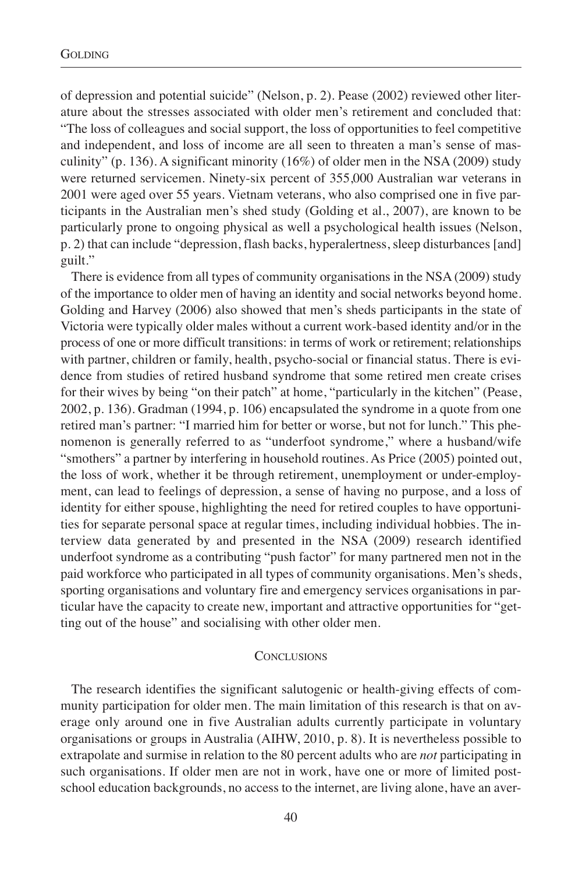of depression and potential suicide" (Nelson, p. 2). Pease (2002) reviewed other literature about the stresses associated with older men's retirement and concluded that: "The loss of colleagues and social support, the loss of opportunities to feel competitive and independent, and loss of income are all seen to threaten a man's sense of masculinity" (p. 136). A significant minority  $(16%)$  of older men in the NSA (2009) study were returned servicemen. Ninety-six percent of 355,000 Australian war veterans in 2001 were aged over 55 years. Vietnam veterans, who also comprised one in five participants in the Australian men's shed study (Golding et al., 2007), are known to be particularly prone to ongoing physical as well a psychological health issues (Nelson, p. 2) that can include "depression, flash backs, hyperalertness, sleep disturbances [and] guilt."

There is evidence from all types of community organisations in the NSA (2009) study of the importance to older men of having an identity and social networks beyond home. Golding and Harvey (2006) also showed that men's sheds participants in the state of Victoria were typically older males without a current work-based identity and/or in the process of one or more difficult transitions: in terms of work or retirement; relationships with partner, children or family, health, psycho-social or financial status. There is evidence from studies of retired husband syndrome that some retired men create crises for their wives by being "on their patch" at home, "particularly in the kitchen" (Pease, 2002, p. 136). Gradman (1994, p. 106) encapsulated the syndrome in a quote from one retired man's partner: "I married him for better or worse, but not for lunch." This phenomenon is generally referred to as "underfoot syndrome," where a husband/wife "smothers" a partner by interfering in household routines. As Price (2005) pointed out, the loss of work, whether it be through retirement, unemployment or under-employment, can lead to feelings of depression, a sense of having no purpose, and a loss of identity for either spouse, highlighting the need for retired couples to have opportunities for separate personal space at regular times, including individual hobbies. The interview data generated by and presented in the NSA (2009) research identified underfoot syndrome as a contributing "push factor" for many partnered men not in the paid workforce who participated in all types of community organisations. Men's sheds, sporting organisations and voluntary fire and emergency services organisations in particular have the capacity to create new, important and attractive opportunities for "getting out of the house" and socialising with other older men.

## **CONCLUSIONS**

The research identifies the significant salutogenic or health-giving effects of community participation for older men. The main limitation of this research is that on average only around one in five Australian adults currently participate in voluntary organisations or groups in Australia (AIHW, 2010, p. 8). It is nevertheless possible to extrapolate and surmise in relation to the 80 percent adults who are *not* participating in such organisations. If older men are not in work, have one or more of limited postschool education backgrounds, no access to the internet, are living alone, have an aver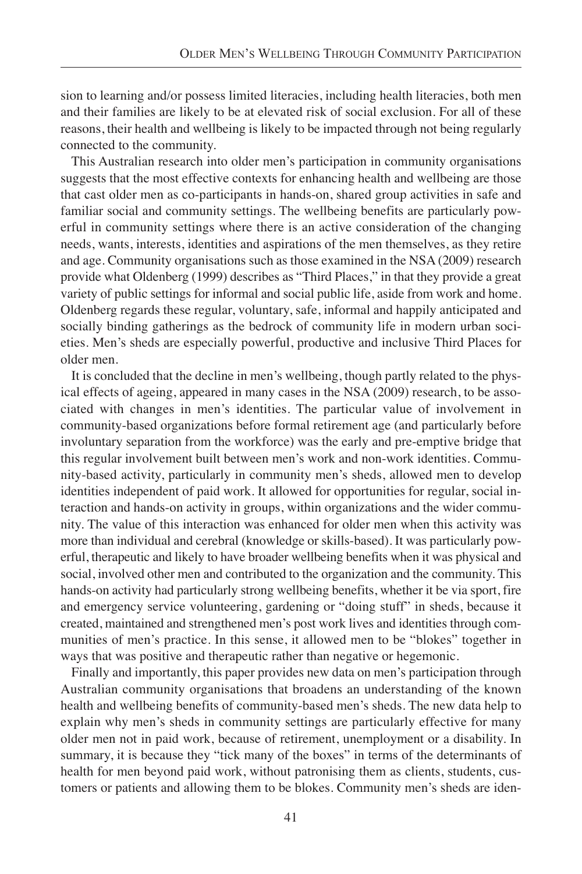sion to learning and/or possess limited literacies, including health literacies, both men and their families are likely to be at elevated risk of social exclusion. For all of these reasons, their health and wellbeing is likely to be impacted through not being regularly connected to the community.

This Australian research into older men's participation in community organisations suggests that the most effective contexts for enhancing health and wellbeing are those that cast older men as co-participants in hands-on, shared group activities in safe and familiar social and community settings. The wellbeing benefits are particularly powerful in community settings where there is an active consideration of the changing needs, wants, interests, identities and aspirations of the men themselves, as they retire and age. Community organisations such as those examined in the NSA (2009) research provide what Oldenberg (1999) describes as "Third Places," in that they provide a great variety of public settings for informal and social public life, aside from work and home. Oldenberg regards these regular, voluntary, safe, informal and happily anticipated and socially binding gatherings as the bedrock of community life in modern urban societies. Men's sheds are especially powerful, productive and inclusive Third Places for older men.

It is concluded that the decline in men's wellbeing, though partly related to the physical effects of ageing, appeared in many cases in the NSA (2009) research, to be associated with changes in men's identities. The particular value of involvement in community-based organizations before formal retirement age (and particularly before involuntary separation from the workforce) was the early and pre-emptive bridge that this regular involvement built between men's work and non-work identities. Community-based activity, particularly in community men's sheds, allowed men to develop identities independent of paid work. It allowed for opportunities for regular, social interaction and hands-on activity in groups, within organizations and the wider community. The value of this interaction was enhanced for older men when this activity was more than individual and cerebral (knowledge or skills-based). It was particularly powerful, therapeutic and likely to have broader wellbeing benefits when it was physical and social, involved other men and contributed to the organization and the community. This hands-on activity had particularly strong wellbeing benefits, whether it be via sport, fire and emergency service volunteering, gardening or "doing stuff" in sheds, because it created, maintained and strengthened men's post work lives and identities through communities of men's practice. In this sense, it allowed men to be "blokes" together in ways that was positive and therapeutic rather than negative or hegemonic.

Finally and importantly, this paper provides new data on men's participation through Australian community organisations that broadens an understanding of the known health and wellbeing benefits of community-based men's sheds. The new data help to explain why men's sheds in community settings are particularly effective for many older men not in paid work, because of retirement, unemployment or a disability. In summary, it is because they "tick many of the boxes" in terms of the determinants of health for men beyond paid work, without patronising them as clients, students, customers or patients and allowing them to be blokes. Community men's sheds are iden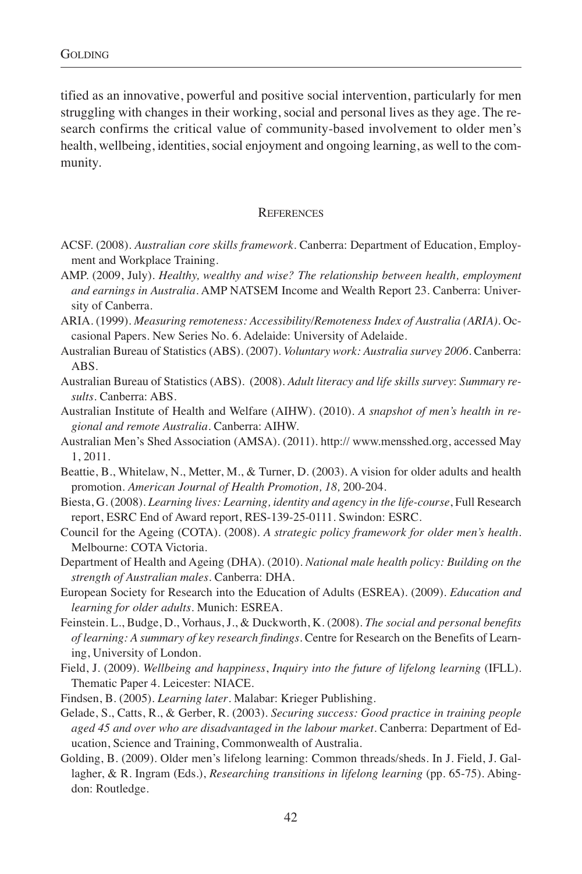tified as an innovative, powerful and positive social intervention, particularly for men struggling with changes in their working, social and personal lives as they age. The research confirms the critical value of community-based involvement to older men's health, wellbeing, identities, social enjoyment and ongoing learning, as well to the community.

#### **REFERENCES**

- ACSF. (2008). *Australian core skills framework*. Canberra: Department of Education, Employment and Workplace Training.
- AMP. (2009, July). *Healthy, wealthy and wise? The relationship between health, employment and earnings in Australia*. AMP NATSEM Income and Wealth Report 23. Canberra: University of Canberra.
- ARIA. (1999). *Measuring remoteness: Accessibility/Remoteness Index of Australia (ARIA).* Occasional Papers. New Series No. 6. Adelaide: University of Adelaide.
- Australian Bureau of Statistics (ABS). (2007). *Voluntary work: Australia survey 2006*. Canberra: ABS.
- Australian Bureau of Statistics (ABS). (2008). *Adult literacy and life skills survey*: *Summary results.* Canberra: ABS.
- Australian Institute of Health and Welfare (AIHW). (2010). *A snapshot of men's health in regional and remote Australia*. Canberra: AIHW.
- Australian Men's Shed Association (AMSA). (2011). http:// www.mensshed.org, accessed May 1, 2011.
- Beattie, B., Whitelaw, N., Metter, M., & Turner, D. (2003). A vision for older adults and health promotion. *American Journal of Health Promotion, 18,* 200-204.
- Biesta, G. (2008). *Learning lives: Learning, identity and agency in the life-course*, Full Research report, ESRC End of Award report, RES-139-25-0111. Swindon: ESRC.
- Council for the Ageing (COTA). (2008). *A strategic policy framework for older men's health*. Melbourne: COTA Victoria.
- Department of Health and Ageing (DHA). (2010). *National male health policy: Building on the strength of Australian males*. Canberra: DHA.
- European Society for Research into the Education of Adults (ESREA). (2009). *Education and learning for older adults*. Munich: ESREA.
- Feinstein. L., Budge, D., Vorhaus, J., & Duckworth, K. (2008). *The social and personal benefits of learning: A summary of key research findings.* Centre for Research on the Benefits of Learning, University of London.
- Field, J. (2009). *Wellbeing and happiness*, *Inquiry into the future of lifelong learning* (IFLL). Thematic Paper 4. Leicester: NIACE.
- Findsen, B. (2005). *Learning later*. Malabar: Krieger Publishing.
- Gelade, S., Catts, R., & Gerber, R. (2003). *Securing success: Good practice in training people aged 45 and over who are disadvantaged in the labour market*. Canberra: Department of Education, Science and Training, Commonwealth of Australia.
- Golding, B. (2009). Older men's lifelong learning: Common threads/sheds. In J. Field, J. Gallagher, & R. Ingram (Eds.), *Researching transitions in lifelong learning* (pp. 65-75). Abingdon: Routledge.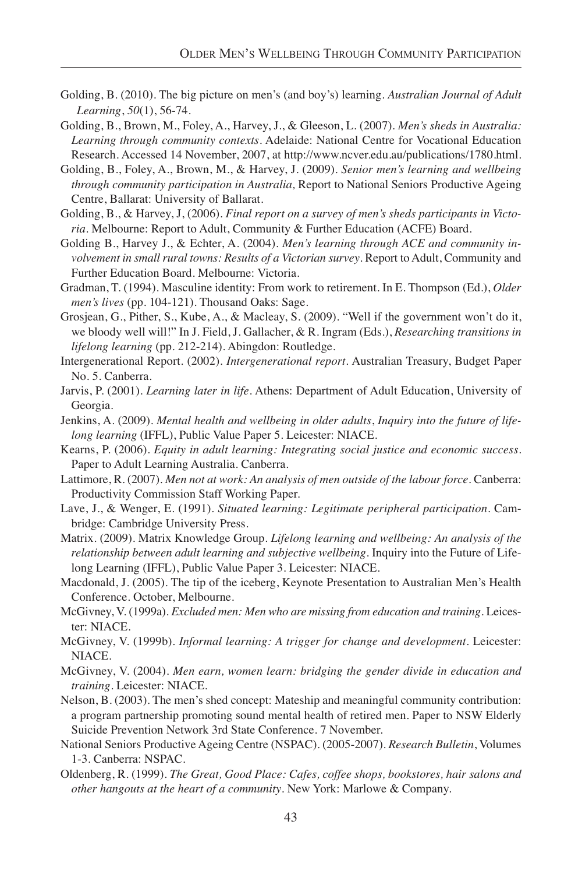- Golding, B. (2010). The big picture on men's (and boy's) learning. *Australian Journal of Adult Learning*, *50*(1), 56-74.
- Golding, B., Brown, M., Foley, A., Harvey, J., & Gleeson, L. (2007). *Men's sheds in Australia: Learning through community contexts*. Adelaide: National Centre for Vocational Education Research. Accessed 14 November, 2007, at http://www.ncver.edu.au/publications/1780.html.
- Golding, B., Foley, A., Brown, M., & Harvey, J. (2009). *Senior men's learning and wellbeing through community participation in Australia,* Report to National Seniors Productive Ageing Centre, Ballarat: University of Ballarat.
- Golding, B., & Harvey, J, (2006). *Final report on a survey of men's sheds participants in Victoria*. Melbourne: Report to Adult, Community & Further Education (ACFE) Board.
- Golding B., Harvey J., & Echter, A. (2004). *Men's learning through ACE and community involvement in small rural towns: Results of a Victorian survey*. Report to Adult, Community and Further Education Board. Melbourne: Victoria.
- Gradman, T. (1994). Masculine identity: From work to retirement. In E. Thompson (Ed.), *Older men's lives* (pp. 104-121). Thousand Oaks: Sage.
- Grosjean, G., Pither, S., Kube, A., & Macleay, S. (2009). "Well if the government won't do it, we bloody well will!" In J. Field, J. Gallacher, & R. Ingram (Eds.), *Researching transitions in lifelong learning* (pp. 212-214). Abingdon: Routledge.
- Intergenerational Report. (2002). *Intergenerational report*. Australian Treasury, Budget Paper No. 5. Canberra.
- Jarvis, P. (2001). *Learning later in life*. Athens: Department of Adult Education, University of Georgia.
- Jenkins, A. (2009). *Mental health and wellbeing in older adults*, *Inquiry into the future of lifelong learning* (IFFL), Public Value Paper 5. Leicester: NIACE.
- Kearns, P. (2006). *Equity in adult learning: Integrating social justice and economic success*. Paper to Adult Learning Australia. Canberra.
- Lattimore, R. (2007). *Men not at work: An analysis of men outside of the labour force*. Canberra: Productivity Commission Staff Working Paper.
- Lave, J., & Wenger, E. (1991). *Situated learning: Legitimate peripheral participation*. Cambridge: Cambridge University Press.
- Matrix. (2009). Matrix Knowledge Group. *Lifelong learning and wellbeing: An analysis of the relationship between adult learning and subjective wellbeing*. Inquiry into the Future of Lifelong Learning (IFFL), Public Value Paper 3. Leicester: NIACE.
- Macdonald, J. (2005). The tip of the iceberg, Keynote Presentation to Australian Men's Health Conference. October, Melbourne.
- McGivney, V. (1999a). *Excluded men: Men who are missing from education and training*. Leicester: NIACE.
- McGivney, V. (1999b). *Informal learning: A trigger for change and development*. Leicester: NIACE.
- McGivney, V. (2004). *Men earn, women learn: bridging the gender divide in education and training*. Leicester: NIACE.
- Nelson, B. (2003). The men's shed concept: Mateship and meaningful community contribution: a program partnership promoting sound mental health of retired men. Paper to NSW Elderly Suicide Prevention Network 3rd State Conference. 7 November.
- National Seniors Productive Ageing Centre (NSPAC). (2005-2007). *Research Bulletin*, Volumes 1-3. Canberra: NSPAC.
- Oldenberg, R. (1999). *The Great, Good Place: Cafes, coffee shops, bookstores, hair salons and other hangouts at the heart of a community*. New York: Marlowe & Company.